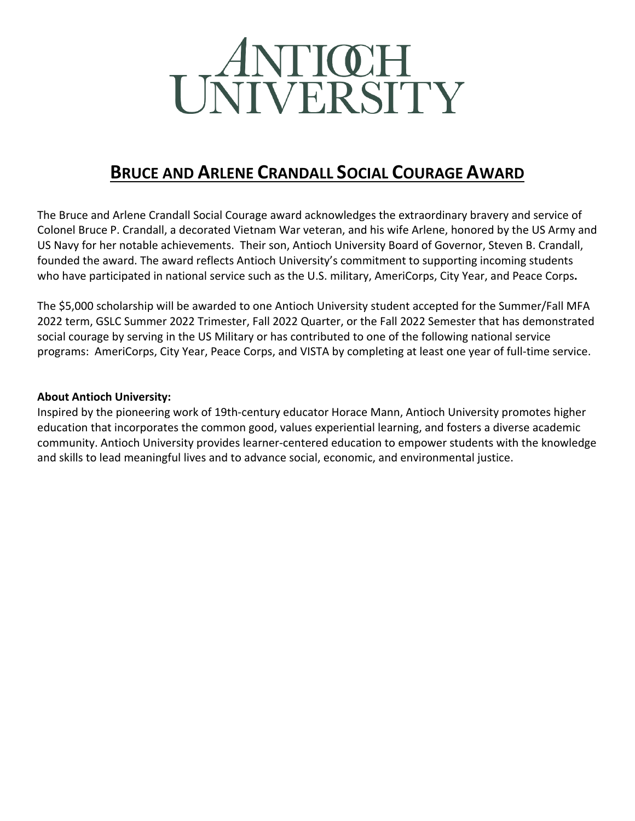# UNIVERSITY

# **BRUCE AND ARLENE CRANDALL SOCIAL COURAGE AWARD**

The Bruce and Arlene Crandall Social Courage award acknowledges the extraordinary bravery and service of Colonel Bruce P. Crandall, a decorated Vietnam War veteran, and his wife Arlene, honored by the US Army and US Navy for her notable achievements. Their son, Antioch University Board of Governor, Steven B. Crandall, founded the award. The award reflects Antioch University's commitment to supporting incoming students who have participated in national service such as the U.S. military, AmeriCorps, City Year, and Peace Corps**.**

The \$5,000 scholarship will be awarded to one Antioch University student accepted for the Summer/Fall MFA 2022 term, GSLC Summer 2022 Trimester, Fall 2022 Quarter, or the Fall 2022 Semester that has demonstrated social courage by serving in the US Military or has contributed to one of the following national service programs: AmeriCorps, City Year, Peace Corps, and VISTA by completing at least one year of full-time service.

#### **About Antioch University:**

Inspired by the pioneering work of 19th-century educator Horace Mann, Antioch University promotes higher education that incorporates the common good, values experiential learning, and fosters a diverse academic community. Antioch University provides learner-centered education to empower students with the knowledge and skills to lead meaningful lives and to advance social, economic, and environmental justice.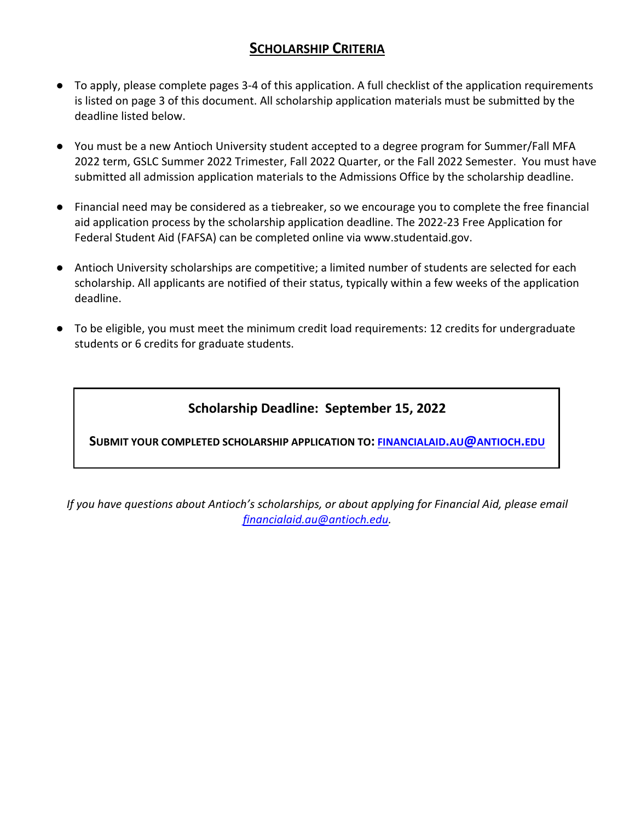## **SCHOLARSHIP CRITERIA**

- To apply, please complete pages 3-4 of this application. A full checklist of the application requirements is listed on page 3 of this document. All scholarship application materials must be submitted by the deadline listed below.
- You must be a new Antioch University student accepted to a degree program for Summer/Fall MFA 2022 term, GSLC Summer 2022 Trimester, Fall 2022 Quarter, or the Fall 2022 Semester. You must have submitted all admission application materials to the Admissions Office by the scholarship deadline.
- Financial need may be considered as a tiebreaker, so we encourage you to complete the free financial aid application process by the scholarship application deadline. The 2022-23 Free Application for Federal Student Aid (FAFSA) can be completed online via www.studentaid.gov.
- Antioch University scholarships are competitive; a limited number of students are selected for each scholarship. All applicants are notified of their status, typically within a few weeks of the application deadline.
- To be eligible, you must meet the minimum credit load requirements: 12 credits for undergraduate students or 6 credits for graduate students.

### **Scholarship Deadline: September 15, 2022**

**SUBMIT YOUR COMPLETED SCHOLARSHIP APPLICATION TO: [FINANCIALAID.AU@ANTIOCH.EDU](mailto:financialaid.au@antioch.edu)**

*If you have questions about Antioch's scholarships, or about applying for Financial Aid, please email [financialaid.au@antioch.edu.](mailto:financialaid.au@antioch.edu)*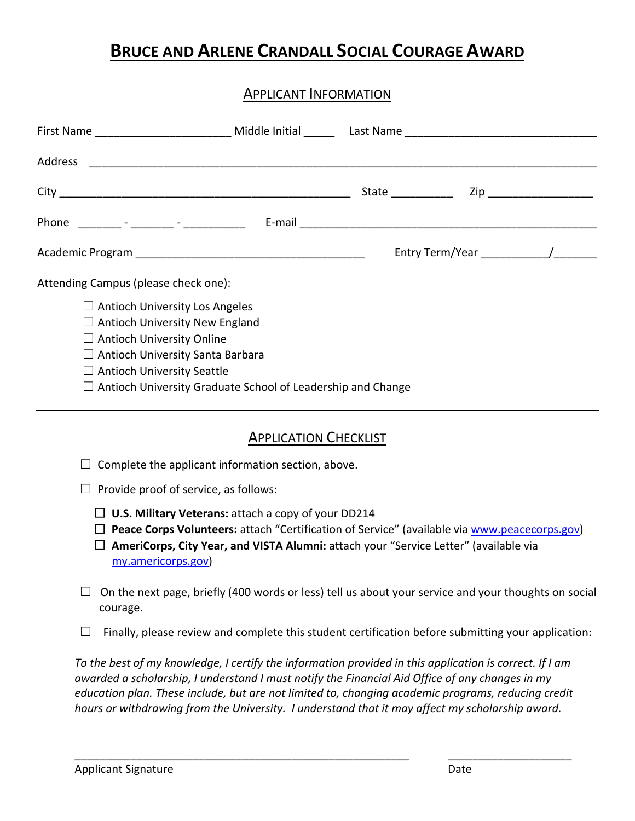## **BRUCE AND ARLENE CRANDALL SOCIAL COURAGE AWARD**

#### APPLICANT INFORMATION

| Attending Campus (please check one):    |                                                                    |  |  |  |
|-----------------------------------------|--------------------------------------------------------------------|--|--|--|
| $\Box$ Antioch University Los Angeles   |                                                                    |  |  |  |
| $\Box$ Antioch University New England   |                                                                    |  |  |  |
| $\Box$ Antioch University Online        |                                                                    |  |  |  |
| $\Box$ Antioch University Santa Barbara |                                                                    |  |  |  |
| $\Box$ Antioch University Seattle       |                                                                    |  |  |  |
|                                         | $\Box$ Antioch University Graduate School of Leadership and Change |  |  |  |

#### APPLICATION CHECKLIST

| $\Box$ Complete the applicant information section, above. |  |
|-----------------------------------------------------------|--|
|-----------------------------------------------------------|--|

- $\Box$  Provide proof of service, as follows:
	- ☐ **U.S. Military Veterans:** attach a copy of your DD214
	- ☐ **Peace Corps Volunteers:** attach "Certification of Service" (available via [www.peacecorps.gov\)](http://www.peacecorps.gov/)
	- ☐ **AmeriCorps, City Year, and VISTA Alumni:** attach your "Service Letter" (available via my.americorps.gov)
- $\Box$  On the next page, briefly (400 words or less) tell us about your service and your thoughts on social courage.
- $\Box$  Finally, please review and complete this student certification before submitting your application:

*To the best of my knowledge, I certify the information provided in this application is correct. If I am awarded a scholarship, I understand I must notify the Financial Aid Office of any changes in my education plan. These include, but are not limited to, changing academic programs, reducing credit hours or withdrawing from the University. I understand that it may affect my scholarship award.*

\_\_\_\_\_\_\_\_\_\_\_\_\_\_\_\_\_\_\_\_\_\_\_\_\_\_\_\_\_\_\_\_\_\_\_\_\_\_\_\_\_\_\_\_\_\_\_\_\_\_\_\_\_\_ \_\_\_\_\_\_\_\_\_\_\_\_\_\_\_\_\_\_\_\_